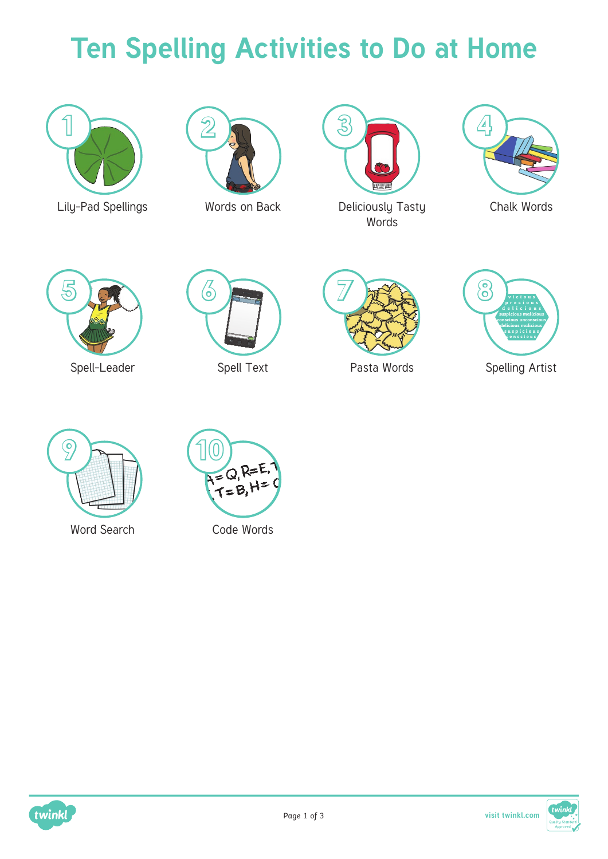## **Ten Spelling Activities to Do at Home**







Lily-Pad Spellings Words on Back Deliciously Tasty Words



Chalk Words









Spell-Leader Spell Text Pasta Words Spelling Artist



Word Search **Code Words** 





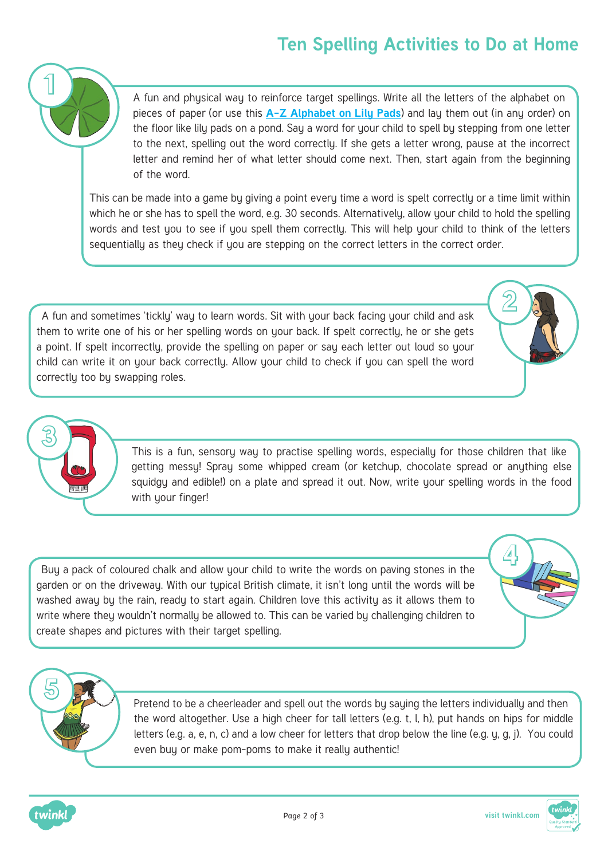## **Ten Spelling Activities to Do at Home**

A fun and physical way to reinforce target spellings. Write all the letters of the alphabet on pieces of paper (or use this **[A-Z Alphabet on Lily Pads](https://www.twinkl.co.uk/resource/t-w-3226-a-z-alphabet-on-lily-pads)**) and lay them out (in any order) on the floor like lily pads on a pond. Say a word for your child to spell by stepping from one letter to the next, spelling out the word correctly. If she gets a letter wrong, pause at the incorrect letter and remind her of what letter should come next. Then, start again from the beginning of the word.

This can be made into a game by giving a point every time a word is spelt correctly or a time limit within which he or she has to spell the word, e.g. 30 seconds. Alternatively, allow your child to hold the spelling words and test you to see if you spell them correctly. This will help your child to think of the letters sequentially as they check if you are stepping on the correct letters in the correct order.

A fun and sometimes 'tickly' way to learn words. Sit with your back facing your child and ask them to write one of his or her spelling words on your back. If spelt correctly, he or she gets a point. If spelt incorrectly, provide the spelling on paper or say each letter out loud so your child can write it on your back correctly. Allow your child to check if you can spell the word correctly too by swapping roles.



**1**

This is a fun, sensory way to practise spelling words, especially for those children that like getting messy! Spray some whipped cream (or ketchup, chocolate spread or anything else squidgy and edible!) on a plate and spread it out. Now, write your spelling words in the food with your finger!

Buy a pack of coloured chalk and allow your child to write the words on paving stones in the garden or on the driveway. With our typical British climate, it isn't long until the words will be washed away by the rain, ready to start again. Children love this activity as it allows them to write where they wouldn't normally be allowed to. This can be varied by challenging children to create shapes and pictures with their target spelling.



**2**



Pretend to be a cheerleader and spell out the words by saying the letters individually and then the word altogether. Use a high cheer for tall letters (e.g. t, l, h), put hands on hips for middle letters (e.g. a, e, n, c) and a low cheer for letters that drop below the line (e.g. y, g, j). You could even buy or make pom-poms to make it really authentic!